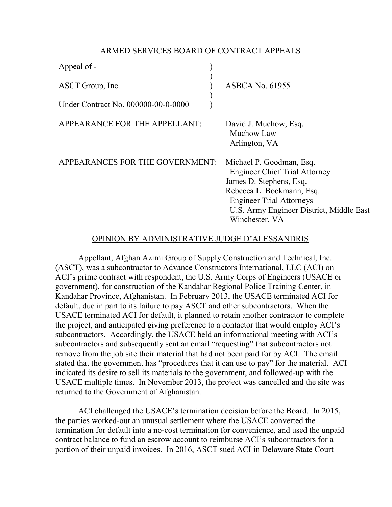## ARMED SERVICES BOARD OF CONTRACT APPEALS

| Appeal of -                         |                                                                                                                                                                                                                           |
|-------------------------------------|---------------------------------------------------------------------------------------------------------------------------------------------------------------------------------------------------------------------------|
| ASCT Group, Inc.                    | <b>ASBCA No. 61955</b>                                                                                                                                                                                                    |
| Under Contract No. 000000-00-0-0000 |                                                                                                                                                                                                                           |
| APPEARANCE FOR THE APPELLANT:       | David J. Muchow, Esq.<br>Muchow Law<br>Arlington, VA                                                                                                                                                                      |
| APPEARANCES FOR THE GOVERNMENT:     | Michael P. Goodman, Esq.<br><b>Engineer Chief Trial Attorney</b><br>James D. Stephens, Esq.<br>Rebecca L. Bockmann, Esq.<br><b>Engineer Trial Attorneys</b><br>U.S. Army Engineer District, Middle East<br>Winchester, VA |

# OPINION BY ADMINISTRATIVE JUDGE D'ALESSANDRIS

 Appellant, Afghan Azimi Group of Supply Construction and Technical, Inc. (ASCT), was a subcontractor to Advance Constructors International, LLC (ACI) on ACI's prime contract with respondent, the U.S. Army Corps of Engineers (USACE or government), for construction of the Kandahar Regional Police Training Center, in Kandahar Province, Afghanistan. In February 2013, the USACE terminated ACI for default, due in part to its failure to pay ASCT and other subcontractors. When the USACE terminated ACI for default, it planned to retain another contractor to complete the project, and anticipated giving preference to a contactor that would employ ACI's subcontractors. Accordingly, the USACE held an informational meeting with ACI's subcontractors and subsequently sent an email "requesting" that subcontractors not remove from the job site their material that had not been paid for by ACI. The email stated that the government has "procedures that it can use to pay" for the material. ACI indicated its desire to sell its materials to the government, and followed-up with the USACE multiple times. In November 2013, the project was cancelled and the site was returned to the Government of Afghanistan.

 ACI challenged the USACE's termination decision before the Board. In 2015, the parties worked-out an unusual settlement where the USACE converted the termination for default into a no-cost termination for convenience, and used the unpaid contract balance to fund an escrow account to reimburse ACI's subcontractors for a portion of their unpaid invoices. In 2016, ASCT sued ACI in Delaware State Court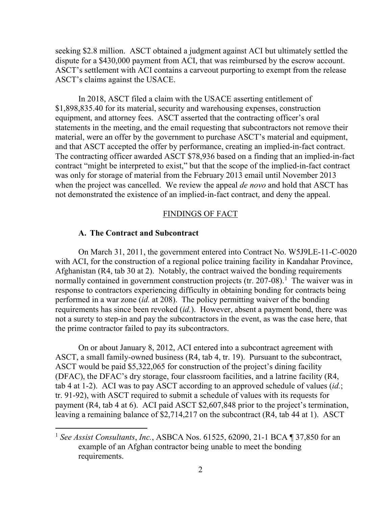seeking \$2.8 million. ASCT obtained a judgment against ACI but ultimately settled the dispute for a \$430,000 payment from ACI, that was reimbursed by the escrow account. ASCT's settlement with ACI contains a carveout purporting to exempt from the release ASCT's claims against the USACE.

 In 2018, ASCT filed a claim with the USACE asserting entitlement of \$1,898,835.40 for its material, security and warehousing expenses, construction equipment, and attorney fees. ASCT asserted that the contracting officer's oral statements in the meeting, and the email requesting that subcontractors not remove their material, were an offer by the government to purchase ASCT's material and equipment, and that ASCT accepted the offer by performance, creating an implied-in-fact contract. The contracting officer awarded ASCT \$78,936 based on a finding that an implied-in-fact contract "might be interpreted to exist," but that the scope of the implied-in-fact contract was only for storage of material from the February 2013 email until November 2013 when the project was cancelled. We review the appeal *de novo* and hold that ASCT has not demonstrated the existence of an implied-in-fact contract, and deny the appeal.

### FINDINGS OF FACT

## **A. The Contract and Subcontract**

 $\overline{a}$ 

 On March 31, 2011, the government entered into Contract No. W5J9LE-11-C-0020 with ACI, for the construction of a regional police training facility in Kandahar Province, Afghanistan (R4, tab 30 at 2). Notably, the contract waived the bonding requirements normally contained in government construction projects (tr. 207-08).<sup>[1](#page-1-0)</sup> The waiver was in response to contractors experiencing difficulty in obtaining bonding for contracts being performed in a war zone (*id.* at 208). The policy permitting waiver of the bonding requirements has since been revoked (*id.*). However, absent a payment bond, there was not a surety to step-in and pay the subcontractors in the event, as was the case here, that the prime contractor failed to pay its subcontractors.

 On or about January 8, 2012, ACI entered into a subcontract agreement with ASCT, a small family-owned business (R4, tab 4, tr. 19). Pursuant to the subcontract, ASCT would be paid \$5,322,065 for construction of the project's dining facility (DFAC), the DFAC's dry storage, four classroom facilities, and a latrine facility (R4, tab 4 at 1-2). ACI was to pay ASCT according to an approved schedule of values (*id.*; tr. 91-92), with ASCT required to submit a schedule of values with its requests for payment (R4, tab 4 at 6). ACI paid ASCT \$2,607,848 prior to the project's termination, leaving a remaining balance of \$2,714,217 on the subcontract (R4, tab 44 at 1). ASCT

<span id="page-1-0"></span><sup>1</sup> *See Assist Consultants*, *Inc.*, ASBCA Nos. 61525, 62090, 21-1 BCA ¶ 37,850 for an example of an Afghan contractor being unable to meet the bonding requirements.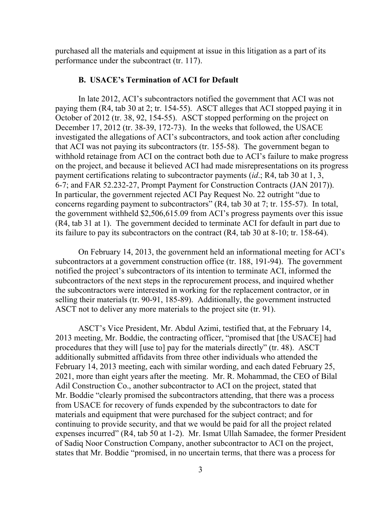purchased all the materials and equipment at issue in this litigation as a part of its performance under the subcontract (tr. 117).

#### **B. USACE's Termination of ACI for Default**

In late 2012, ACI's subcontractors notified the government that ACI was not paying them (R4, tab 30 at 2; tr. 154-55). ASCT alleges that ACI stopped paying it in October of 2012 (tr. 38, 92, 154-55). ASCT stopped performing on the project on December 17, 2012 (tr. 38-39, 172-73). In the weeks that followed, the USACE investigated the allegations of ACI's subcontractors, and took action after concluding that ACI was not paying its subcontractors (tr. 155-58). The government began to withhold retainage from ACI on the contract both due to ACI's failure to make progress on the project, and because it believed ACI had made misrepresentations on its progress payment certifications relating to subcontractor payments (*id*.; R4, tab 30 at 1, 3, 6-7; and FAR 52.232-27, Prompt Payment for Construction Contracts (JAN 2017)). In particular, the government rejected ACI Pay Request No. 22 outright "due to concerns regarding payment to subcontractors" (R4, tab 30 at 7; tr. 155-57). In total, the government withheld \$2,506,615.09 from ACI's progress payments over this issue (R4, tab 31 at 1). The government decided to terminate ACI for default in part due to its failure to pay its subcontractors on the contract (R4, tab 30 at 8-10; tr. 158-64).

On February 14, 2013, the government held an informational meeting for ACI's subcontractors at a government construction office (tr. 188, 191-94). The government notified the project's subcontractors of its intention to terminate ACI, informed the subcontractors of the next steps in the reprocurement process, and inquired whether the subcontractors were interested in working for the replacement contractor, or in selling their materials (tr. 90-91, 185-89). Additionally, the government instructed ASCT not to deliver any more materials to the project site (tr. 91).

ASCT's Vice President, Mr. Abdul Azimi, testified that, at the February 14, 2013 meeting, Mr. Boddie, the contracting officer, "promised that [the USACE] had procedures that they will [use to] pay for the materials directly" (tr. 48). ASCT additionally submitted affidavits from three other individuals who attended the February 14, 2013 meeting, each with similar wording, and each dated February 25, 2021, more than eight years after the meeting. Mr. R. Mohammad, the CEO of Bilal Adil Construction Co., another subcontractor to ACI on the project, stated that Mr. Boddie "clearly promised the subcontractors attending, that there was a process from USACE for recovery of funds expended by the subcontractors to date for materials and equipment that were purchased for the subject contract; and for continuing to provide security, and that we would be paid for all the project related expenses incurred" (R4, tab 50 at 1-2). Mr. Ismat Ullah Samadee, the former President of Sadiq Noor Construction Company, another subcontractor to ACI on the project, states that Mr. Boddie "promised, in no uncertain terms, that there was a process for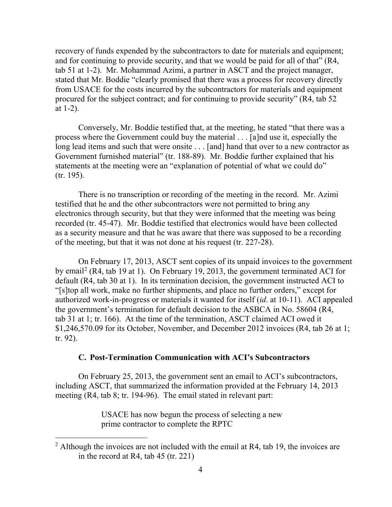recovery of funds expended by the subcontractors to date for materials and equipment; and for continuing to provide security, and that we would be paid for all of that" (R4, tab 51 at 1-2). Mr. Mohammad Azimi, a partner in ASCT and the project manager, stated that Mr. Boddie "clearly promised that there was a process for recovery directly from USACE for the costs incurred by the subcontractors for materials and equipment procured for the subject contract; and for continuing to provide security" (R4, tab 52 at 1-2).

Conversely, Mr. Boddie testified that, at the meeting, he stated "that there was a process where the Government could buy the material . . . [a]nd use it, especially the long lead items and such that were onsite . . . [and] hand that over to a new contractor as Government furnished material" (tr. 188-89). Mr. Boddie further explained that his statements at the meeting were an "explanation of potential of what we could do" (tr. 195).

There is no transcription or recording of the meeting in the record. Mr. Azimi testified that he and the other subcontractors were not permitted to bring any electronics through security, but that they were informed that the meeting was being recorded (tr. 45-47). Mr. Boddie testified that electronics would have been collected as a security measure and that he was aware that there was supposed to be a recording of the meeting, but that it was not done at his request (tr. 227-28).

On February 17, 2013, ASCT sent copies of its unpaid invoices to the government by email[2](#page-3-0) (R4, tab 19 at 1). On February 19, 2013, the government terminated ACI for default (R4, tab 30 at 1). In its termination decision, the government instructed ACI to "[s]top all work, make no further shipments, and place no further orders," except for authorized work-in-progress or materials it wanted for itself (*id*. at 10-11). ACI appealed the government's termination for default decision to the ASBCA in No. 58604 (R4, tab 31 at 1; tr. 166). At the time of the termination, ASCT claimed ACI owed it \$1,246,570.09 for its October, November, and December 2012 invoices (R4, tab 26 at 1; tr. 92).

## **C. Post-Termination Communication with ACI's Subcontractors**

On February 25, 2013, the government sent an email to ACI's subcontractors, including ASCT, that summarized the information provided at the February 14, 2013 meeting (R4, tab 8; tr. 194-96). The email stated in relevant part:

> USACE has now begun the process of selecting a new prime contractor to complete the RPTC

<span id="page-3-0"></span><sup>&</sup>lt;sup>2</sup> Although the invoices are not included with the email at R4, tab 19, the invoices are in the record at R4, tab 45 (tr. 221)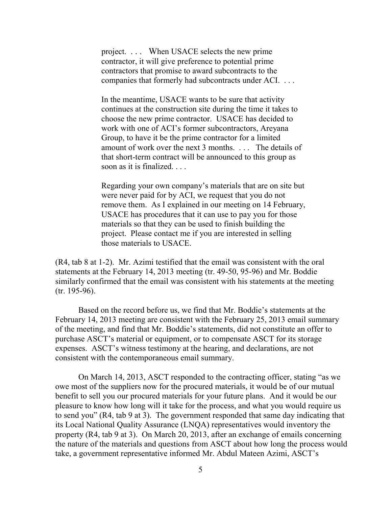project. . . . When USACE selects the new prime contractor, it will give preference to potential prime contractors that promise to award subcontracts to the companies that formerly had subcontracts under ACI. . . .

In the meantime, USACE wants to be sure that activity continues at the construction site during the time it takes to choose the new prime contractor. USACE has decided to work with one of ACI's former subcontractors, Areyana Group, to have it be the prime contractor for a limited amount of work over the next 3 months. . . . The details of that short-term contract will be announced to this group as soon as it is finalized. . . .

Regarding your own company's materials that are on site but were never paid for by ACI, we request that you do not remove them. As I explained in our meeting on 14 February, USACE has procedures that it can use to pay you for those materials so that they can be used to finish building the project. Please contact me if you are interested in selling those materials to USACE.

(R4, tab 8 at 1-2). Mr. Azimi testified that the email was consistent with the oral statements at the February 14, 2013 meeting (tr. 49-50, 95-96) and Mr. Boddie similarly confirmed that the email was consistent with his statements at the meeting (tr. 195-96).

Based on the record before us, we find that Mr. Boddie's statements at the February 14, 2013 meeting are consistent with the February 25, 2013 email summary of the meeting, and find that Mr. Boddie's statements, did not constitute an offer to purchase ASCT's material or equipment, or to compensate ASCT for its storage expenses. ASCT's witness testimony at the hearing, and declarations, are not consistent with the contemporaneous email summary.

On March 14, 2013, ASCT responded to the contracting officer, stating "as we owe most of the suppliers now for the procured materials, it would be of our mutual benefit to sell you our procured materials for your future plans. And it would be our pleasure to know how long will it take for the process, and what you would require us to send you" (R4, tab 9 at 3). The government responded that same day indicating that its Local National Quality Assurance (LNQA) representatives would inventory the property (R4, tab 9 at 3). On March 20, 2013, after an exchange of emails concerning the nature of the materials and questions from ASCT about how long the process would take, a government representative informed Mr. Abdul Mateen Azimi, ASCT's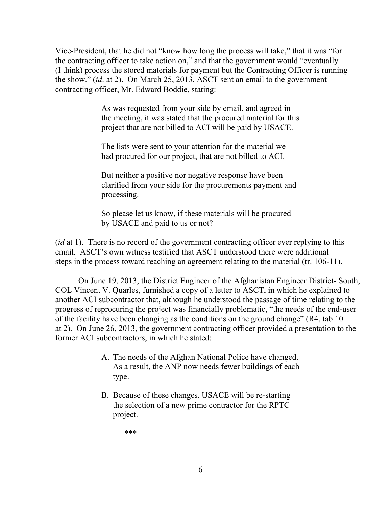Vice-President, that he did not "know how long the process will take," that it was "for the contracting officer to take action on," and that the government would "eventually (I think) process the stored materials for payment but the Contracting Officer is running the show." (*id*. at 2). On March 25, 2013, ASCT sent an email to the government contracting officer, Mr. Edward Boddie, stating:

> As was requested from your side by email, and agreed in the meeting, it was stated that the procured material for this project that are not billed to ACI will be paid by USACE.

The lists were sent to your attention for the material we had procured for our project, that are not billed to ACI.

But neither a positive nor negative response have been clarified from your side for the procurements payment and processing.

So please let us know, if these materials will be procured by USACE and paid to us or not?

(*id* at 1). There is no record of the government contracting officer ever replying to this email. ASCT's own witness testified that ASCT understood there were additional steps in the process toward reaching an agreement relating to the material (tr. 106-11).

On June 19, 2013, the District Engineer of the Afghanistan Engineer District- South, COL Vincent V. Quarles, furnished a copy of a letter to ASCT, in which he explained to another ACI subcontractor that, although he understood the passage of time relating to the progress of reprocuring the project was financially problematic, "the needs of the end-user of the facility have been changing as the conditions on the ground change" (R4, tab 10 at 2). On June 26, 2013, the government contracting officer provided a presentation to the former ACI subcontractors, in which he stated:

- A. The needs of the Afghan National Police have changed. As a result, the ANP now needs fewer buildings of each type.
- B. Because of these changes, USACE will be re-starting the selection of a new prime contractor for the RPTC project.

\*\*\*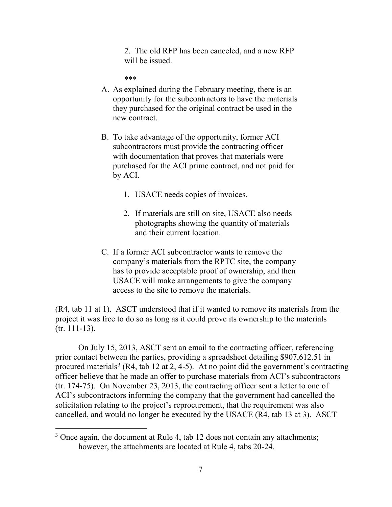2. The old RFP has been canceled, and a new RFP will be issued.

\*\*\*

- A. As explained during the February meeting, there is an opportunity for the subcontractors to have the materials they purchased for the original contract be used in the new contract.
- B. To take advantage of the opportunity, former ACI subcontractors must provide the contracting officer with documentation that proves that materials were purchased for the ACI prime contract, and not paid for by ACI.
	- 1. USACE needs copies of invoices.
	- 2. If materials are still on site, USACE also needs photographs showing the quantity of materials and their current location.
- C. If a former ACI subcontractor wants to remove the company's materials from the RPTC site, the company has to provide acceptable proof of ownership, and then USACE will make arrangements to give the company access to the site to remove the materials.

(R4, tab 11 at 1). ASCT understood that if it wanted to remove its materials from the project it was free to do so as long as it could prove its ownership to the materials (tr. 111-13).

On July 15, 2013, ASCT sent an email to the contracting officer, referencing prior contact between the parties, providing a spreadsheet detailing \$907,612.51 in procured materials<sup>[3](#page-6-0)</sup> (R4, tab 12 at 2, 4-5). At no point did the government's contracting officer believe that he made an offer to purchase materials from ACI's subcontractors (tr. 174-75). On November 23, 2013, the contracting officer sent a letter to one of ACI's subcontractors informing the company that the government had cancelled the solicitation relating to the project's reprocurement, that the requirement was also cancelled, and would no longer be executed by the USACE (R4, tab 13 at 3). ASCT

<span id="page-6-0"></span><sup>&</sup>lt;sup>3</sup> Once again, the document at Rule 4, tab 12 does not contain any attachments; however, the attachments are located at Rule 4, tabs 20-24.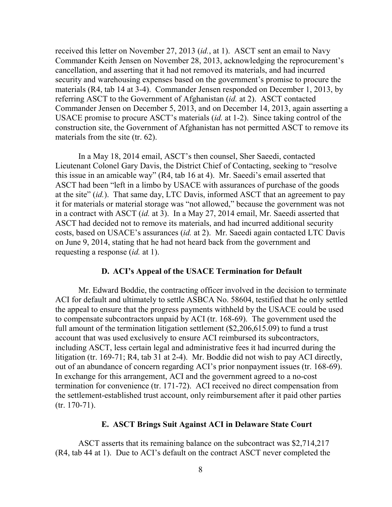received this letter on November 27, 2013 (*id.*, at 1). ASCT sent an email to Navy Commander Keith Jensen on November 28, 2013, acknowledging the reprocurement's cancellation, and asserting that it had not removed its materials, and had incurred security and warehousing expenses based on the government's promise to procure the materials (R4, tab 14 at 3-4). Commander Jensen responded on December 1, 2013, by referring ASCT to the Government of Afghanistan (*id.* at 2). ASCT contacted Commander Jensen on December 5, 2013, and on December 14, 2013, again asserting a USACE promise to procure ASCT's materials (*id.* at 1-2). Since taking control of the construction site, the Government of Afghanistan has not permitted ASCT to remove its materials from the site (tr. 62).

In a May 18, 2014 email, ASCT's then counsel, Sher Saeedi, contacted Lieutenant Colonel Gary Davis, the District Chief of Contacting, seeking to "resolve this issue in an amicable way" (R4, tab 16 at 4). Mr. Saeedi's email asserted that ASCT had been "left in a limbo by USACE with assurances of purchase of the goods at the site" (*id.*). That same day, LTC Davis, informed ASCT that an agreement to pay it for materials or material storage was "not allowed," because the government was not in a contract with ASCT (*id.* at 3). In a May 27, 2014 email, Mr. Saeedi asserted that ASCT had decided not to remove its materials, and had incurred additional security costs, based on USACE's assurances (*id.* at 2). Mr. Saeedi again contacted LTC Davis on June 9, 2014, stating that he had not heard back from the government and requesting a response (*id.* at 1).

### **D. ACI's Appeal of the USACE Termination for Default**

Mr. Edward Boddie, the contracting officer involved in the decision to terminate ACI for default and ultimately to settle ASBCA No. 58604, testified that he only settled the appeal to ensure that the progress payments withheld by the USACE could be used to compensate subcontractors unpaid by ACI (tr. 168-69). The government used the full amount of the termination litigation settlement (\$2,206,615.09) to fund a trust account that was used exclusively to ensure ACI reimbursed its subcontractors, including ASCT, less certain legal and administrative fees it had incurred during the litigation (tr. 169-71; R4, tab 31 at 2-4). Mr. Boddie did not wish to pay ACI directly, out of an abundance of concern regarding ACI's prior nonpayment issues (tr. 168-69). In exchange for this arrangement, ACI and the government agreed to a no-cost termination for convenience (tr. 171-72). ACI received no direct compensation from the settlement-established trust account, only reimbursement after it paid other parties (tr. 170-71).

### **E. ASCT Brings Suit Against ACI in Delaware State Court**

ASCT asserts that its remaining balance on the subcontract was \$2,714,217 (R4, tab 44 at 1). Due to ACI's default on the contract ASCT never completed the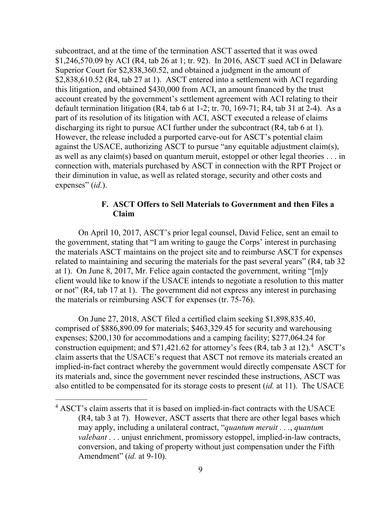subcontract, and at the time of the termination ASCT asserted that it was owed \$1,246,570.09 by ACI (R4, tab 26 at 1; tr. 92). In 2016, ASCT sued ACI in Delaware Superior Court for \$2,838,360.52, and obtained a judgment in the amount of \$2,838,610.52 (R4, tab 27 at 1). ASCT entered into a settlement with ACI regarding this litigation, and obtained \$430,000 from ACI, an amount financed by the trust account created by the government's settlement agreement with ACI relating to their default termination litigation (R4, tab 6 at 1-2; tr. 70, 169-71; R4, tab 31 at 2-4). As a part of its resolution of its litigation with ACI, ASCT executed a release of claims discharging its right to pursue ACI further under the subcontract (R4, tab 6 at 1). However, the release included a purported carve-out for ASCT's potential claim against the USACE, authorizing ASCT to pursue "any equitable adjustment claim(s), as well as any claim(s) based on quantum meruit, estoppel or other legal theories . . . in connection with, materials purchased by ASCT in connection with the RPT Project or their diminution in value, as well as related storage, security and other costs and expenses" (*id.*).

# **F. ASCT Offers to Sell Materials to Government and then Files a Claim**

On April 10, 2017, ASCT's prior legal counsel, David Felice, sent an email to the government, stating that "I am writing to gauge the Corps' interest in purchasing the materials ASCT maintains on the project site and to reimburse ASCT for expenses related to maintaining and securing the materials for the past several years" (R4, tab 32 at 1). On June 8, 2017, Mr. Felice again contacted the government, writing "[m]y client would like to know if the USACE intends to negotiate a resolution to this matter or not" (R4, tab 17 at 1). The government did not express any interest in purchasing the materials or reimbursing ASCT for expenses (tr. 75-76).

On June 27, 2018, ASCT filed a certified claim seeking \$1,898,835.40, comprised of \$886,890.09 for materials; \$463,329.45 for security and warehousing expenses; \$200,130 for accommodations and a camping facility; \$277,064.24 for construction equipment; and \$71,421.62 for attorney's fees (R4, tab 3 at 12). [4](#page-8-0) ASCT's claim asserts that the USACE's request that ASCT not remove its materials created an implied-in-fact contract whereby the government would directly compensate ASCT for its materials and, since the government never rescinded these instructions, ASCT was also entitled to be compensated for its storage costs to present (*id.* at 11). The USACE

<span id="page-8-0"></span><sup>&</sup>lt;sup>4</sup> ASCT's claim asserts that it is based on implied-in-fact contracts with the USACE (R4, tab 3 at 7). However, ASCT asserts that there are other legal bases which may apply, including a unilateral contract, "*quantum meruit . . .*, *quantum valebant* . . . unjust enrichment, promissory estoppel, implied-in-law contracts, conversion, and taking of property without just compensation under the Fifth Amendment" (*id.* at 9-10).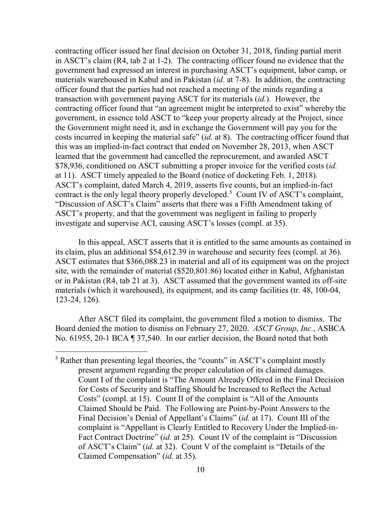contracting officer issued her final decision on October 31, 2018, finding partial merit in ASCT's claim (R4, tab 2 at 1-2). The contracting officer found no evidence that the government had expressed an interest in purchasing ASCT's equipment, labor camp, or materials warehoused in Kabul and in Pakistan (*id*. at 7-8). In addition, the contracting officer found that the parties had not reached a meeting of the minds regarding a transaction with government paying ASCT for its materials (*id.*). However, the contracting officer found that "an agreement might be interpreted to exist" whereby the government, in essence told ASCT to "keep your property already at the Project, since the Government might need it, and in exchange the Government will pay you for the costs incurred in keeping the material safe" (*id.* at 8). The contracting officer found that this was an implied-in-fact contract that ended on November 28, 2013, when ASCT learned that the government had cancelled the reprocurement, and awarded ASCT \$78,936, conditioned on ASCT submitting a proper invoice for the verified costs (*id.*  at 11). ASCT timely appealed to the Board (notice of docketing Feb. 1, 2018). ASCT's complaint, dated March 4, 2019, asserts five counts, but an implied-in-fact contract is the only legal theory properly developed. [5](#page-9-0) Count IV of ASCT's complaint, "Discussion of ASCT's Claim" asserts that there was a Fifth Amendment taking of ASCT's property, and that the government was negligent in failing to properly investigate and supervise ACI, causing ASCT's losses (compl. at 35).

In this appeal, ASCT asserts that it is entitled to the same amounts as contained in its claim, plus an additional \$54,612.39 in warehouse and security fees (compl. at 36). ASCT estimates that \$366,088.23 in material and all of its equipment was on the project site, with the remainder of material (\$520,801.86) located either in Kabul, Afghanistan or in Pakistan (R4, tab 21 at 3). ASCT assumed that the government wanted its off-site materials (which it warehoused), its equipment, and its camp facilities (tr. 48, 100-04, 123-24, 126).

After ASCT filed its complaint, the government filed a motion to dismiss. The Board denied the motion to dismiss on February 27, 2020. *ASCT Group*, *Inc.*, ASBCA No. 61955, 20-1 BCA ¶ 37,540. In our earlier decision, the Board noted that both

<span id="page-9-0"></span> <sup>5</sup> Rather than presenting legal theories, the "counts" in ASCT's complaint mostly present argument regarding the proper calculation of its claimed damages. Count I of the complaint is "The Amount Already Offered in the Final Decision for Costs of Security and Staffing Should be Increased to Reflect the Actual Costs" (compl. at 15). Count II of the complaint is "All of the Amounts Claimed Should be Paid. The Following are Point-by-Point Answers to the Final Decision's Denial of Appellant's Claims" (*id.* at 17). Count III of the complaint is "Appellant is Clearly Entitled to Recovery Under the Implied-in-Fact Contract Doctrine" (*id.* at 25). Count IV of the complaint is "Discussion of ASCT's Claim" (*id.* at 32). Count V of the complaint is "Details of the Claimed Compensation" (*id.* at 35).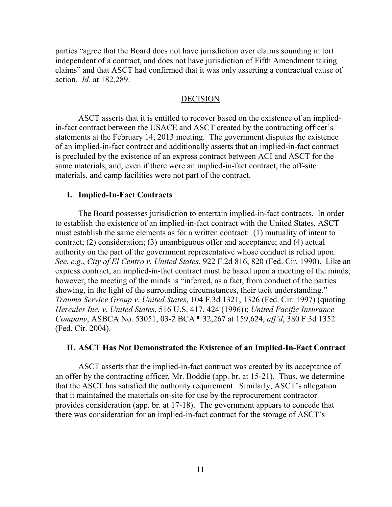parties "agree that the Board does not have jurisdiction over claims sounding in tort independent of a contract, and does not have jurisdiction of Fifth Amendment taking claims" and that ASCT had confirmed that it was only asserting a contractual cause of action. *Id.* at 182,289.

#### DECISION

 ASCT asserts that it is entitled to recover based on the existence of an impliedin-fact contract between the USACE and ASCT created by the contracting officer's statements at the February 14, 2013 meeting. The government disputes the existence of an implied-in-fact contract and additionally asserts that an implied-in-fact contract is precluded by the existence of an express contract between ACI and ASCT for the same materials, and, even if there were an implied-in-fact contract, the off-site materials, and camp facilities were not part of the contract.

#### **I. Implied-In-Fact Contracts**

 The Board possesses jurisdiction to entertain implied-in-fact contracts. In order to establish the existence of an implied-in-fact contract with the United States, ASCT must establish the same elements as for a written contract: (1) mutuality of intent to contract; (2) consideration; (3) unambiguous offer and acceptance; and (4) actual authority on the part of the government representative whose conduct is relied upon. *See*, *e.g*., *City of El Centro v. United States*, 922 F.2d 816, 820 (Fed. Cir. 1990). Like an express contract, an implied-in-fact contract must be based upon a meeting of the minds; however, the meeting of the minds is "inferred, as a fact, from conduct of the parties showing, in the light of the surrounding circumstances, their tacit understanding." *Trauma Service Group v. United States*, 104 F.3d 1321, 1326 (Fed. Cir. 1997) (quoting *Hercules Inc. v. United States*, 516 U.S. 417, 424 (1996)); *United Pacific Insurance Company*, ASBCA No. 53051, 03-2 BCA ¶ 32,267 at 159,624, *aff'd*, 380 F.3d 1352 (Fed. Cir. 2004).

### **II. ASCT Has Not Demonstrated the Existence of an Implied-In-Fact Contract**

 ASCT asserts that the implied-in-fact contract was created by its acceptance of an offer by the contracting officer, Mr. Boddie (app. br. at 15-21). Thus, we determine that the ASCT has satisfied the authority requirement. Similarly, ASCT's allegation that it maintained the materials on-site for use by the reprocurement contractor provides consideration (app. br. at 17-18). The government appears to concede that there was consideration for an implied-in-fact contract for the storage of ASCT's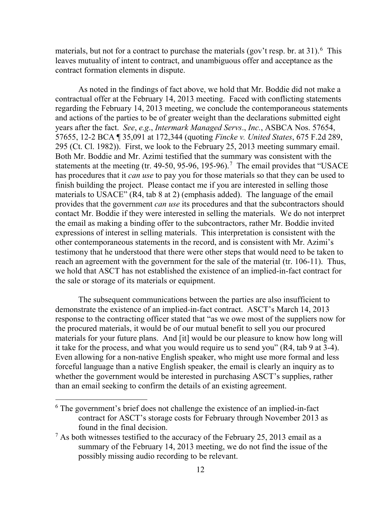materials, but not for a contract to purchase the materials (gov't resp. br. at 31). <sup>[6](#page-11-0)</sup> This leaves mutuality of intent to contract, and unambiguous offer and acceptance as the contract formation elements in dispute.

As noted in the findings of fact above, we hold that Mr. Boddie did not make a contractual offer at the February 14, 2013 meeting. Faced with conflicting statements regarding the February 14, 2013 meeting, we conclude the contemporaneous statements and actions of the parties to be of greater weight than the declarations submitted eight years after the fact. *See*, *e.g*., *Intermark Managed Servs*., *Inc.*, ASBCA Nos. 57654, 57655, 12-2 BCA ¶ 35,091 at 172,344 (quoting *Fincke v. United States*, 675 F.2d 289, 295 (Ct. Cl. 1982)). First, we look to the February 25, 2013 meeting summary email. Both Mr. Boddie and Mr. Azimi testified that the summary was consistent with the statements at the meeting (tr. 49-50, 95-96, 195-96).<sup>[7](#page-11-1)</sup> The email provides that "USACE has procedures that it *can use* to pay you for those materials so that they can be used to finish building the project. Please contact me if you are interested in selling those materials to USACE" (R4, tab 8 at 2) (emphasis added). The language of the email provides that the government *can use* its procedures and that the subcontractors should contact Mr. Boddie if they were interested in selling the materials. We do not interpret the email as making a binding offer to the subcontractors, rather Mr. Boddie invited expressions of interest in selling materials. This interpretation is consistent with the other contemporaneous statements in the record, and is consistent with Mr. Azimi's testimony that he understood that there were other steps that would need to be taken to reach an agreement with the government for the sale of the material (tr. 106-11). Thus, we hold that ASCT has not established the existence of an implied-in-fact contract for the sale or storage of its materials or equipment.

The subsequent communications between the parties are also insufficient to demonstrate the existence of an implied-in-fact contract. ASCT's March 14, 2013 response to the contracting officer stated that "as we owe most of the suppliers now for the procured materials, it would be of our mutual benefit to sell you our procured materials for your future plans. And [it] would be our pleasure to know how long will it take for the process, and what you would require us to send you" (R4, tab 9 at 3-4). Even allowing for a non-native English speaker, who might use more formal and less forceful language than a native English speaker, the email is clearly an inquiry as to whether the government would be interested in purchasing ASCT's supplies, rather than an email seeking to confirm the details of an existing agreement.

<span id="page-11-0"></span> <sup>6</sup> The government's brief does not challenge the existence of an implied-in-fact contract for ASCT's storage costs for February through November 2013 as found in the final decision.

<span id="page-11-1"></span> $<sup>7</sup>$  As both witnesses testified to the accuracy of the February 25, 2013 email as a</sup> summary of the February 14, 2013 meeting, we do not find the issue of the possibly missing audio recording to be relevant.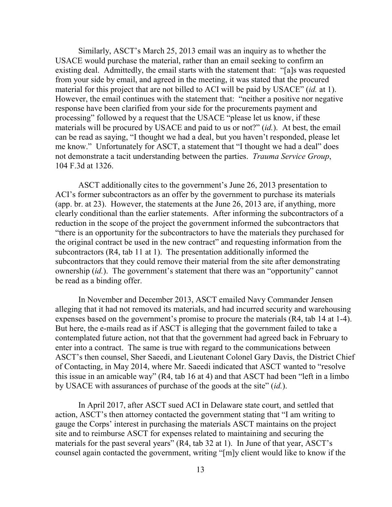Similarly, ASCT's March 25, 2013 email was an inquiry as to whether the USACE would purchase the material, rather than an email seeking to confirm an existing deal. Admittedly, the email starts with the statement that: "[a]s was requested from your side by email, and agreed in the meeting, it was stated that the procured material for this project that are not billed to ACI will be paid by USACE" (*id.* at 1). However, the email continues with the statement that: "neither a positive nor negative response have been clarified from your side for the procurements payment and processing" followed by a request that the USACE "please let us know, if these materials will be procured by USACE and paid to us or not?" (*id.*). At best, the email can be read as saying, "I thought we had a deal, but you haven't responded, please let me know." Unfortunately for ASCT, a statement that "I thought we had a deal" does not demonstrate a tacit understanding between the parties. *Trauma Service Group*, 104 F.3d at 1326.

ASCT additionally cites to the government's June 26, 2013 presentation to ACI's former subcontractors as an offer by the government to purchase its materials (app. br. at 23). However, the statements at the June 26, 2013 are, if anything, more clearly conditional than the earlier statements. After informing the subcontractors of a reduction in the scope of the project the government informed the subcontractors that "there is an opportunity for the subcontractors to have the materials they purchased for the original contract be used in the new contract" and requesting information from the subcontractors (R4, tab 11 at 1). The presentation additionally informed the subcontractors that they could remove their material from the site after demonstrating ownership (*id.*). The government's statement that there was an "opportunity" cannot be read as a binding offer.

In November and December 2013, ASCT emailed Navy Commander Jensen alleging that it had not removed its materials, and had incurred security and warehousing expenses based on the government's promise to procure the materials (R4, tab 14 at 1-4). But here, the e-mails read as if ASCT is alleging that the government failed to take a contemplated future action, not that that the government had agreed back in February to enter into a contract. The same is true with regard to the communications between ASCT's then counsel, Sher Saeedi, and Lieutenant Colonel Gary Davis, the District Chief of Contacting, in May 2014, where Mr. Saeedi indicated that ASCT wanted to "resolve this issue in an amicable way" (R4, tab 16 at 4) and that ASCT had been "left in a limbo by USACE with assurances of purchase of the goods at the site" (*id.*).

In April 2017, after ASCT sued ACI in Delaware state court, and settled that action, ASCT's then attorney contacted the government stating that "I am writing to gauge the Corps' interest in purchasing the materials ASCT maintains on the project site and to reimburse ASCT for expenses related to maintaining and securing the materials for the past several years" (R4, tab 32 at 1). In June of that year, ASCT's counsel again contacted the government, writing "[m]y client would like to know if the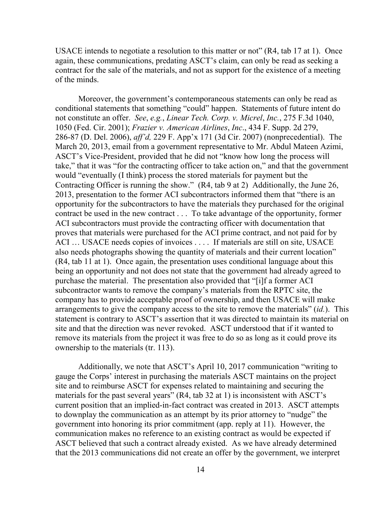USACE intends to negotiate a resolution to this matter or not" (R4, tab 17 at 1). Once again, these communications, predating ASCT's claim, can only be read as seeking a contract for the sale of the materials, and not as support for the existence of a meeting of the minds.

Moreover, the government's contemporaneous statements can only be read as conditional statements that something "could" happen. Statements of future intent do not constitute an offer. *See*, *e.g.*, *Linear Tech. Corp. v. Micrel*, *Inc.*, 275 F.3d 1040, 1050 (Fed. Cir. 2001); *Frazier v. American Airlines*, *Inc*., 434 F. Supp. 2d 279, 286-87 (D. Del. 2006), *aff'd,* 229 F. App'x 171 (3d Cir. 2007) (nonprecedential). The March 20, 2013, email from a government representative to Mr. Abdul Mateen Azimi, ASCT's Vice-President, provided that he did not "know how long the process will take," that it was "for the contracting officer to take action on," and that the government would "eventually (I think) process the stored materials for payment but the Contracting Officer is running the show." (R4, tab 9 at 2) Additionally, the June 26, 2013, presentation to the former ACI subcontractors informed them that "there is an opportunity for the subcontractors to have the materials they purchased for the original contract be used in the new contract . . . To take advantage of the opportunity, former ACI subcontractors must provide the contracting officer with documentation that proves that materials were purchased for the ACI prime contract, and not paid for by ACI ... USACE needs copies of invoices .... If materials are still on site, USACE also needs photographs showing the quantity of materials and their current location" (R4, tab 11 at 1). Once again, the presentation uses conditional language about this being an opportunity and not does not state that the government had already agreed to purchase the material. The presentation also provided that "[i]f a former ACI subcontractor wants to remove the company's materials from the RPTC site, the company has to provide acceptable proof of ownership, and then USACE will make arrangements to give the company access to the site to remove the materials" (*id.*). This statement is contrary to ASCT's assertion that it was directed to maintain its material on site and that the direction was never revoked. ASCT understood that if it wanted to remove its materials from the project it was free to do so as long as it could prove its ownership to the materials (tr. 113).

Additionally, we note that ASCT's April 10, 2017 communication "writing to gauge the Corps' interest in purchasing the materials ASCT maintains on the project site and to reimburse ASCT for expenses related to maintaining and securing the materials for the past several years" (R4, tab 32 at 1) is inconsistent with ASCT's current position that an implied-in-fact contract was created in 2013. ASCT attempts to downplay the communication as an attempt by its prior attorney to "nudge" the government into honoring its prior commitment (app. reply at 11). However, the communication makes no reference to an existing contract as would be expected if ASCT believed that such a contract already existed. As we have already determined that the 2013 communications did not create an offer by the government, we interpret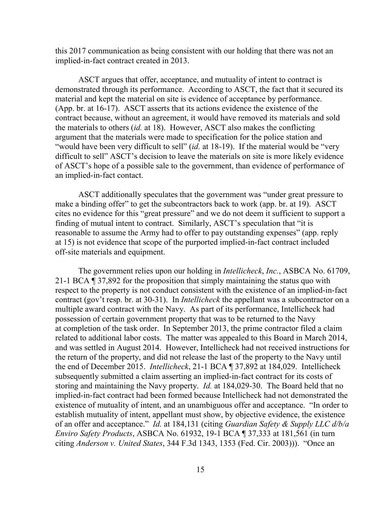this 2017 communication as being consistent with our holding that there was not an implied-in-fact contract created in 2013.

ASCT argues that offer, acceptance, and mutuality of intent to contract is demonstrated through its performance. According to ASCT, the fact that it secured its material and kept the material on site is evidence of acceptance by performance. (App. br. at 16-17). ASCT asserts that its actions evidence the existence of the contract because, without an agreement, it would have removed its materials and sold the materials to others (*id.* at 18). However, ASCT also makes the conflicting argument that the materials were made to specification for the police station and "would have been very difficult to sell" *(id.* at 18-19). If the material would be "very difficult to sell" ASCT's decision to leave the materials on site is more likely evidence of ASCT's hope of a possible sale to the government, than evidence of performance of an implied-in-fact contact.

ASCT additionally speculates that the government was "under great pressure to make a binding offer" to get the subcontractors back to work (app. br. at 19). ASCT cites no evidence for this "great pressure" and we do not deem it sufficient to support a finding of mutual intent to contract. Similarly, ASCT's speculation that "it is reasonable to assume the Army had to offer to pay outstanding expenses" (app. reply at 15) is not evidence that scope of the purported implied-in-fact contract included off-site materials and equipment.

The government relies upon our holding in *Intellicheck*, *Inc.*, ASBCA No. 61709, 21-1 BCA ¶ 37,892 for the proposition that simply maintaining the status quo with respect to the property is not conduct consistent with the existence of an implied-in-fact contract (gov't resp. br. at 30-31). In *Intellicheck* the appellant was a subcontractor on a multiple award contract with the Navy. As part of its performance, Intellicheck had possession of certain government property that was to be returned to the Navy at completion of the task order. In September 2013, the prime contractor filed a claim related to additional labor costs. The matter was appealed to this Board in March 2014, and was settled in August 2014. However, Intellicheck had not received instructions for the return of the property, and did not release the last of the property to the Navy until the end of December 2015. *Intellicheck*, 21-1 BCA ¶ 37,892 at 184,029. Intellicheck subsequently submitted a claim asserting an implied-in-fact contract for its costs of storing and maintaining the Navy property. *Id.* at 184,029-30. The Board held that no implied-in-fact contract had been formed because Intellicheck had not demonstrated the existence of mutuality of intent, and an unambiguous offer and acceptance. "In order to establish mutuality of intent, appellant must show, by objective evidence, the existence of an offer and acceptance." *Id.* at 184,131 (citing *Guardian Safety & Supply LLC d/b/a Enviro Safety Products*, ASBCA No. 61932, 19-1 BCA ¶ 37,333 at 181,561 (in turn citing *Anderson v. United States*, 344 F.3d 1343, 1353 (Fed. Cir. 2003))). "Once an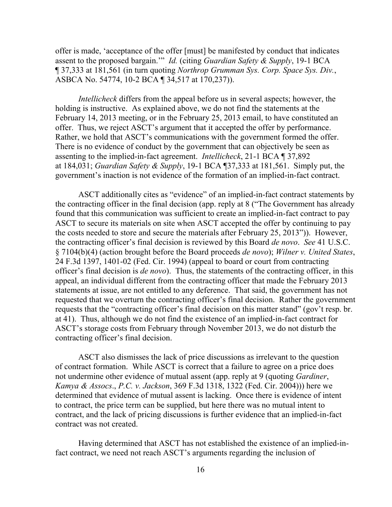offer is made, 'acceptance of the offer [must] be manifested by conduct that indicates assent to the proposed bargain.'" *Id.* (citing *Guardian Safety & Supply*, 19-1 BCA ¶ 37,333 at 181,561 (in turn quoting *Northrop Grumman Sys. Corp. Space Sys. Div.*, ASBCA No. 54774, 10-2 BCA ¶ 34,517 at 170,237)).

*Intellicheck* differs from the appeal before us in several aspects; however, the holding is instructive. As explained above, we do not find the statements at the February 14, 2013 meeting, or in the February 25, 2013 email, to have constituted an offer. Thus, we reject ASCT's argument that it accepted the offer by performance. Rather, we hold that ASCT's communications with the government formed the offer. There is no evidence of conduct by the government that can objectively be seen as assenting to the implied-in-fact agreement. *Intellicheck*, 21-1 BCA ¶ 37,892 at 184,031; *Guardian Safety & Supply*, 19-1 BCA ¶37,333 at 181,561. Simply put, the government's inaction is not evidence of the formation of an implied-in-fact contract.

ASCT additionally cites as "evidence" of an implied-in-fact contract statements by the contracting officer in the final decision (app. reply at 8 ("The Government has already found that this communication was sufficient to create an implied-in-fact contract to pay ASCT to secure its materials on site when ASCT accepted the offer by continuing to pay the costs needed to store and secure the materials after February 25, 2013")). However, the contracting officer's final decision is reviewed by this Board *de novo*. *See* 41 U.S.C. § 7104(b)(4) (action brought before the Board proceeds *de novo*); *Wilner v. United States*, 24 F.3d 1397, 1401-02 (Fed. Cir. 1994) (appeal to board or court from contracting officer's final decision is *de novo*). Thus, the statements of the contracting officer, in this appeal, an individual different from the contracting officer that made the February 2013 statements at issue, are not entitled to any deference. That said, the government has not requested that we overturn the contracting officer's final decision. Rather the government requests that the "contracting officer's final decision on this matter stand" (gov't resp. br. at 41). Thus, although we do not find the existence of an implied-in-fact contract for ASCT's storage costs from February through November 2013, we do not disturb the contracting officer's final decision.

ASCT also dismisses the lack of price discussions as irrelevant to the question of contract formation. While ASCT is correct that a failure to agree on a price does not undermine other evidence of mutual assent (app. reply at 9 (quoting *Gardiner*, *Kamya & Assocs*., *P.C. v. Jackson*, 369 F.3d 1318, 1322 (Fed. Cir. 2004))) here we determined that evidence of mutual assent is lacking. Once there is evidence of intent to contract, the price term can be supplied, but here there was no mutual intent to contract, and the lack of pricing discussions is further evidence that an implied-in-fact contract was not created.

Having determined that ASCT has not established the existence of an implied-infact contract, we need not reach ASCT's arguments regarding the inclusion of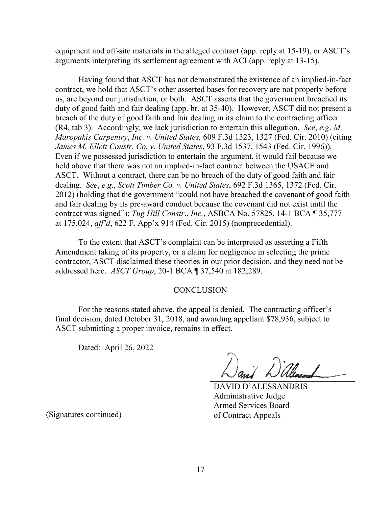equipment and off-site materials in the alleged contract (app. reply at 15-19), or ASCT's arguments interpreting its settlement agreement with ACI (app. reply at 13-15).

 Having found that ASCT has not demonstrated the existence of an implied-in-fact contract, we hold that ASCT's other asserted bases for recovery are not properly before us, are beyond our jurisdiction, or both. ASCT asserts that the government breached its duty of good faith and fair dealing (app. br. at 35-40). However, ASCT did not present a breach of the duty of good faith and fair dealing in its claim to the contracting officer (R4, tab 3). Accordingly, we lack jurisdiction to entertain this allegation. *See*, *e.g*. *M. Maropakis Carpentry*, *Inc. v. United States,* 609 F.3d 1323, 1327 (Fed. Cir. 2010) (citing *James M. Ellett Constr. Co. v. United States*, 93 F.3d 1537, 1543 (Fed. Cir. 1996))*.* Even if we possessed jurisdiction to entertain the argument, it would fail because we held above that there was not an implied-in-fact contract between the USACE and ASCT. Without a contract, there can be no breach of the duty of good faith and fair dealing. *See*, *e.g*., *Scott Timber Co. v. United States*, 692 F.3d 1365, 1372 (Fed. Cir. 2012) (holding that the government "could not have breached the covenant of good faith and fair dealing by its pre-award conduct because the covenant did not exist until the contract was signed"); *Tug Hill Constr*., *Inc.*, ASBCA No. 57825, 14-1 BCA ¶ 35,777 at 175,024, *aff'd*, 622 F. App'x 914 (Fed. Cir. 2015) (nonprecedential).

 To the extent that ASCT's complaint can be interpreted as asserting a Fifth Amendment taking of its property, or a claim for negligence in selecting the prime contractor, ASCT disclaimed these theories in our prior decision, and they need not be addressed here. *ASCT Group*, 20-1 BCA ¶ 37,540 at 182,289.

#### **CONCLUSION**

 For the reasons stated above, the appeal is denied. The contracting officer's final decision, dated October 31, 2018, and awarding appellant \$78,936, subject to ASCT submitting a proper invoice, remains in effect.

Dated: April 26, 2022

DAVID D'ALESSANDRIS Administrative Judge Armed Services Board of Contract Appeals

(Signatures continued)